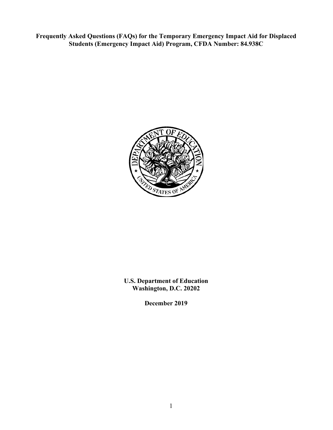**Frequently Asked Questions (FAQs) for the Temporary Emergency Impact Aid for Displaced Students (Emergency Impact Aid) Program, CFDA Number: 84.938C**



### **U.S. Department of Education Washington, D.C. 20202**

**December 2019**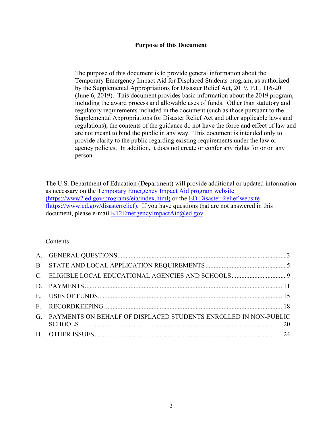#### **Purpose of this Document**

The purpose of this document is to provide general information about the Temporary Emergency Impact Aid for Displaced Students program, as authorized by the Supplemental Appropriations for Disaster Relief Act, 2019, P.L. 116-20 (June 6, 2019). This document provides basic information about the 2019 program, including the award process and allowable uses of funds. Other than statutory and regulatory requirements included in the document (such as those pursuant to the Supplemental Appropriations for Disaster Relief Act and other applicable laws and regulations), the contents of the guidance do not have the force and effect of law and are not meant to bind the public in any way. This document is intended only to provide clarity to the public regarding existing requirements under the law or agency policies. In addition, it does not create or confer any rights for or on any person.

The U.S. Department of Education (Department) will provide additional or updated information as necessary on the [Temporary Emergency Impact Aid program website](https://www2.ed.gov/programs/eia/index.html)  [\(https://www2.ed.gov/programs/eia/index.html\)](https://www2.ed.gov/programs/eia/index.html) or the [ED Disaster Relief website](https://share.ed.gov/teams/OESE/OFFICES/DRU/EIA/ED%20Disaster%20Relief%20website%20(https:/www.ed.gov/disasterrelief)  [\(https://www.ed.gov/disasterrelief\)](https://share.ed.gov/teams/OESE/OFFICES/DRU/EIA/ED%20Disaster%20Relief%20website%20(https:/www.ed.gov/disasterrelief). If you have questions that are not answered in this document, please e-mail [K12EmergencyImpactAid@ed.gov.](mailto:K12EmergencyImpactAid@ed.gov)

#### Contents

| G. PAYMENTS ON BEHALF OF DISPLACED STUDENTS ENROLLED IN NON-PUBLIC |  |
|--------------------------------------------------------------------|--|
|                                                                    |  |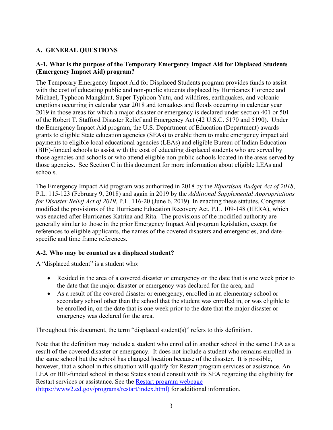### <span id="page-2-0"></span>**A. GENERAL QUESTIONS**

### **A-1. What is the purpose of the Temporary Emergency Impact Aid for Displaced Students (Emergency Impact Aid) program?**

The Temporary Emergency Impact Aid for Displaced Students program provides funds to assist with the cost of educating public and non-public students displaced by Hurricanes Florence and Michael, Typhoon Mangkhut, Super Typhoon Yutu, and wildfires, earthquakes, and volcanic eruptions occurring in calendar year 2018 and tornadoes and floods occurring in calendar year 2019 in those areas for which a major disaster or emergency is declared under section 401 or 501 of the Robert T. Stafford Disaster Relief and Emergency Act (42 U.S.C. 5170 and 5190). Under the Emergency Impact Aid program, the U.S. Department of Education (Department) awards grants to eligible State education agencies (SEAs) to enable them to make emergency impact aid payments to eligible local educational agencies (LEAs) and eligible Bureau of Indian Education (BIE)-funded schools to assist with the cost of educating displaced students who are served by those agencies and schools or who attend eligible non-public schools located in the areas served by those agencies. See Section C in this document for more information about eligible LEAs and schools.

The Emergency Impact Aid program was authorized in 2018 by the *Bipartisan Budget Act of 2018*, P.L. 115-123 (February 9, 2018) and again in 2019 by the *Additional Supplemental Appropriations for Disaster Relief Act of 2019*, P.L. 116-20 (June 6, 2019). In enacting these statutes, Congress modified the provisions of the Hurricane Education Recovery Act, P.L. 109-148 (HERA), which was enacted after Hurricanes Katrina and Rita. The provisions of the modified authority are generally similar to those in the prior Emergency Impact Aid program legislation, except for references to eligible applicants, the names of the covered disasters and emergencies, and datespecific and time frame references.

### **A-2. Who may be counted as a displaced student?**

A "displaced student" is a student who:

- Resided in the area of a covered disaster or emergency on the date that is one week prior to the date that the major disaster or emergency was declared for the area; and
- As a result of the covered disaster or emergency, enrolled in an elementary school or secondary school other than the school that the student was enrolled in, or was eligible to be enrolled in, on the date that is one week prior to the date that the major disaster or emergency was declared for the area.

Throughout this document, the term "displaced student(s)" refers to this definition.

Note that the definition may include a student who enrolled in another school in the same LEA as a result of the covered disaster or emergency. It does not include a student who remains enrolled in the same school but the school has changed location because of the disaster. It is possible, however, that a school in this situation will qualify for Restart program services or assistance. An LEA or BIE-funded school in those States should consult with its SEA regarding the eligibility for Restart services or assistance. See the **Restart program webpage** [\(https://www2.ed.gov/programs/restart/index.html\)](https://www2.ed.gov/programs/restart/index.html) for additional information.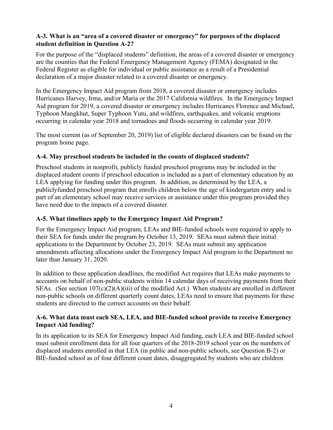### **A-3. What is an "area of a covered disaster or emergency" for purposes of the displaced student definition in Question A-2?**

For the purpose of the "displaced students" definition, the areas of a covered disaster or emergency are the counties that the Federal Emergency Management Agency (FEMA) designated in the Federal Register as eligible for individual or public assistance as a result of a Presidential declaration of a major disaster related to a covered disaster or emergency.

In the Emergency Impact Aid program from 2018, a covered disaster or emergency includes Hurricanes Harvey, Irma, and/or Maria or the 2017 California wildfires. In the Emergency Impact Aid program for 2019, a covered disaster or emergency includes Hurricanes Florence and Michael, Typhoon Mangkhut, Super Typhoon Yutu, and wildfires, earthquakes, and volcanic eruptions occurring in calendar year 2018 and tornadoes and floods occurring in calendar year 2019.

The most current (as of September 20, 2019) list of eligible declared disasters can be found on the program home page.

### **A-4. May preschool students be included in the counts of displaced students?**

Preschool students in nonprofit, publicly funded preschool programs may be included in the displaced student counts if preschool education is included as a part of elementary education by an LEA applying for funding under this program. In addition, as determined by the LEA, a publiclyfunded preschool program that enrolls children below the age of kindergarten entry and is part of an elementary school may receive services or assistance under this program provided they have need due to the impacts of a covered disaster.

### **A-5. What timelines apply to the Emergency Impact Aid Program?**

For the Emergency Impact Aid program, LEAs and BIE-funded schools were required to apply to their SEA for funds under the program by October 13, 2019. SEAs must submit their initial applications to the Department by October 23, 2019. SEAs must submit any application amendments affecting allocations under the Emergency Impact Aid program to the Department no later than January 31, 2020.

In addition to these application deadlines, the modified Act requires that LEAs make payments to accounts on behalf of non-public students within 14 calendar days of receiving payments from their SEAs. (See section 107(c)(2)(A)(iii) of the modified Act.) When students are enrolled in different non-public schools on different quarterly count dates, LEAs need to ensure that payments for these students are directed to the correct accounts on their behalf.

### **A-6. What data must each SEA, LEA, and BIE-funded school provide to receive Emergency Impact Aid funding?**

In its application to its SEA for Emergency Impact Aid funding, each LEA and BIE-funded school must submit enrollment data for all four quarters of the 2018-2019 school year on the numbers of displaced students enrolled in that LEA (in public and non-public schools, see Question B-2) or BIE-funded school as of four different count dates, disaggregated by students who are children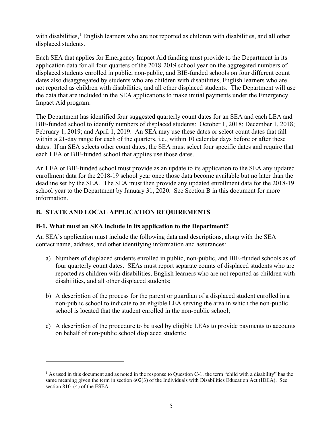with disabilities,<sup>[1](#page-4-1)</sup> English learners who are not reported as children with disabilities, and all other displaced students.

Each SEA that applies for Emergency Impact Aid funding must provide to the Department in its application data for all four quarters of the 2018-2019 school year on the aggregated numbers of displaced students enrolled in public, non-public, and BIE-funded schools on four different count dates also disaggregated by students who are children with disabilities, English learners who are not reported as children with disabilities, and all other displaced students. The Department will use the data that are included in the SEA applications to make initial payments under the Emergency Impact Aid program.

The Department has identified four suggested quarterly count dates for an SEA and each LEA and BIE-funded school to identify numbers of displaced students: October 1, 2018; December 1, 2018; February 1, 2019; and April 1, 2019. An SEA may use these dates or select count dates that fall within a 21-day range for each of the quarters, i.e., within 10 calendar days before or after these dates. If an SEA selects other count dates, the SEA must select four specific dates and require that each LEA or BIE-funded school that applies use those dates.

An LEA or BIE-funded school must provide as an update to its application to the SEA any updated enrollment data for the 2018-19 school year once those data become available but no later than the deadline set by the SEA. The SEA must then provide any updated enrollment data for the 2018-19 school year to the Department by January 31, 2020. See Section B in this document for more information.

## <span id="page-4-0"></span>**B. STATE AND LOCAL APPLICATION REQUIREMENTS**

### **B-1. What must an SEA include in its application to the Department?**

An SEA's application must include the following data and descriptions, along with the SEA contact name, address, and other identifying information and assurances:

- a) Numbers of displaced students enrolled in public, non-public, and BIE-funded schools as of four quarterly count dates. SEAs must report separate counts of displaced students who are reported as children with disabilities, English learners who are not reported as children with disabilities, and all other displaced students;
- b) A description of the process for the parent or guardian of a displaced student enrolled in a non-public school to indicate to an eligible LEA serving the area in which the non-public school is located that the student enrolled in the non-public school;
- c) A description of the procedure to be used by eligible LEAs to provide payments to accounts on behalf of non-public school displaced students;

<span id="page-4-1"></span> $<sup>1</sup>$  As used in this document and as noted in the response to Ouestion C-1, the term "child with a disability" has the</sup> same meaning given the term in section 602(3) of the Individuals with Disabilities Education Act (IDEA). See section 8101(4) of the ESEA.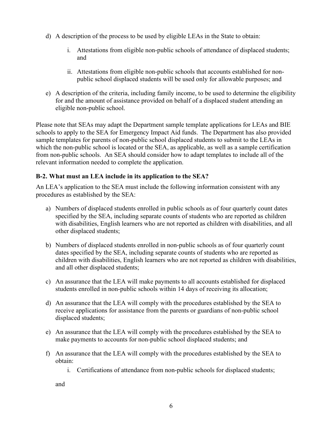- d) A description of the process to be used by eligible LEAs in the State to obtain:
	- i. Attestations from eligible non-public schools of attendance of displaced students; and
	- ii. Attestations from eligible non-public schools that accounts established for nonpublic school displaced students will be used only for allowable purposes; and
- e) A description of the criteria, including family income, to be used to determine the eligibility for and the amount of assistance provided on behalf of a displaced student attending an eligible non-public school.

Please note that SEAs may adapt the Department sample template applications for LEAs and BIE schools to apply to the SEA for Emergency Impact Aid funds. The Department has also provided sample templates for parents of non-public school displaced students to submit to the LEAs in which the non-public school is located or the SEA, as applicable, as well as a sample certification from non-public schools. An SEA should consider how to adapt templates to include all of the relevant information needed to complete the application.

### **B-2. What must an LEA include in its application to the SEA?**

An LEA's application to the SEA must include the following information consistent with any procedures as established by the SEA:

- a) Numbers of displaced students enrolled in public schools as of four quarterly count dates specified by the SEA, including separate counts of students who are reported as children with disabilities, English learners who are not reported as children with disabilities, and all other displaced students;
- b) Numbers of displaced students enrolled in non-public schools as of four quarterly count dates specified by the SEA, including separate counts of students who are reported as children with disabilities, English learners who are not reported as children with disabilities, and all other displaced students;
- c) An assurance that the LEA will make payments to all accounts established for displaced students enrolled in non-public schools within 14 days of receiving its allocation;
- d) An assurance that the LEA will comply with the procedures established by the SEA to receive applications for assistance from the parents or guardians of non-public school displaced students;
- e) An assurance that the LEA will comply with the procedures established by the SEA to make payments to accounts for non-public school displaced students; and
- f) An assurance that the LEA will comply with the procedures established by the SEA to obtain:
	- i. Certifications of attendance from non-public schools for displaced students;

and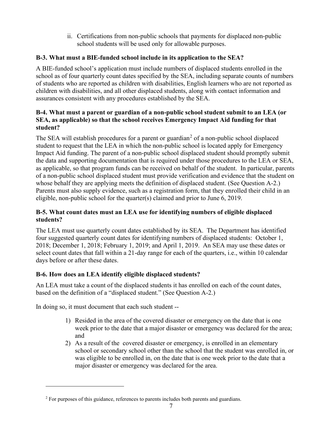ii. Certifications from non-public schools that payments for displaced non-public school students will be used only for allowable purposes.

## **B-3. What must a BIE-funded school include in its application to the SEA?**

A BIE-funded school's application must include numbers of displaced students enrolled in the school as of four quarterly count dates specified by the SEA, including separate counts of numbers of students who are reported as children with disabilities, English learners who are not reported as children with disabilities, and all other displaced students, along with contact information and assurances consistent with any procedures established by the SEA.

### **B-4. What must a parent or guardian of a non-public school student submit to an LEA (or SEA, as applicable) so that the school receives Emergency Impact Aid funding for that student?**

The SEA will establish procedures for a parent or guardian<sup>[2](#page-6-0)</sup> of a non-public school displaced student to request that the LEA in which the non-public school is located apply for Emergency Impact Aid funding. The parent of a non-public school displaced student should promptly submit the data and supporting documentation that is required under those procedures to the LEA or SEA, as applicable, so that program funds can be received on behalf of the student. In particular, parents of a non-public school displaced student must provide verification and evidence that the student on whose behalf they are applying meets the definition of displaced student. (See Question A-2.) Parents must also supply evidence, such as a registration form, that they enrolled their child in an eligible, non-public school for the quarter(s) claimed and prior to June 6, 2019.

## **B-5. What count dates must an LEA use for identifying numbers of eligible displaced students?**

The LEA must use quarterly count dates established by its SEA. The Department has identified four suggested quarterly count dates for identifying numbers of displaced students: October 1, 2018; December 1, 2018; February 1, 2019; and April 1, 2019. An SEA may use these dates or select count dates that fall within a 21-day range for each of the quarters, i.e., within 10 calendar days before or after these dates.

# **B-6. How does an LEA identify eligible displaced students?**

An LEA must take a count of the displaced students it has enrolled on each of the count dates, based on the definition of a "displaced student." (See Question A-2.)

In doing so, it must document that each such student --

- 1) Resided in the area of the covered disaster or emergency on the date that is one week prior to the date that a major disaster or emergency was declared for the area; and
- 2) As a result of the covered disaster or emergency, is enrolled in an elementary school or secondary school other than the school that the student was enrolled in, or was eligible to be enrolled in, on the date that is one week prior to the date that a major disaster or emergency was declared for the area.

<span id="page-6-0"></span> $2$  For purposes of this guidance, references to parents includes both parents and guardians.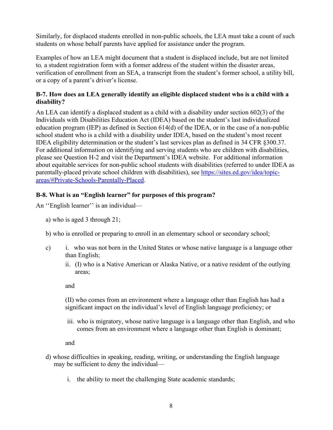Similarly, for displaced students enrolled in non-public schools, the LEA must take a count of such students on whose behalf parents have applied for assistance under the program.

Examples of how an LEA might document that a student is displaced include, but are not limited to*,* a student registration form with a former address of the student within the disaster areas, verification of enrollment from an SEA, a transcript from the student's former school, a utility bill, or a copy of a parent's driver's license.

### **B-7. How does an LEA generally identify an eligible displaced student who is a child with a disability?**

An LEA can identify a displaced student as a child with a disability under section 602(3) of the Individuals with Disabilities Education Act (IDEA) based on the student's last individualized education program (IEP) as defined in Section 614(d) of the IDEA, or in the case of a non-public school student who is a child with a disability under IDEA, based on the student's most recent IDEA eligibility determination or the student's last services plan as defined in 34 CFR §300.37. For additional information on identifying and serving students who are children with disabilities, please see Question H-2 and visit the Department's IDEA website. For additional information about equitable services for non-public school students with disabilities (referred to under IDEA as parentally-placed private school children with disabilities), see [https://sites.ed.gov/idea/topic](https://sites.ed.gov/idea/topic-areas/#Private-Schools-Parentally-Placed)[areas/#Private-Schools-Parentally-Placed.](https://sites.ed.gov/idea/topic-areas/#Private-Schools-Parentally-Placed)

## **B-8. What is an "English learner" for purposes of this program?**

An ''English learner'' is an individual—

a) who is aged 3 through 21;

b) who is enrolled or preparing to enroll in an elementary school or secondary school;

- c) i. who was not born in the United States or whose native language is a language other than English;
	- ii. (I) who is a Native American or Alaska Native, or a native resident of the outlying areas;

and

(II) who comes from an environment where a language other than English has had a significant impact on the individual's level of English language proficiency; or

iii. who is migratory, whose native language is a language other than English, and who comes from an environment where a language other than English is dominant;

and

- d) whose difficulties in speaking, reading, writing, or understanding the English language may be sufficient to deny the individual
	- i. the ability to meet the challenging State academic standards;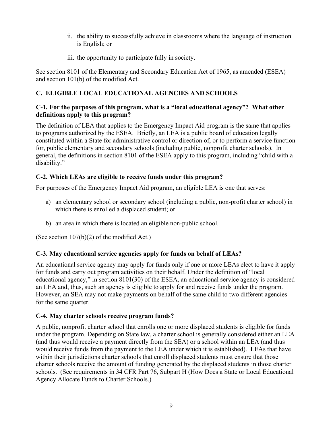- ii. the ability to successfully achieve in classrooms where the language of instruction is English; or
- iii. the opportunity to participate fully in society.

See section 8101 of the Elementary and Secondary Education Act of 1965, as amended (ESEA) and section 101(b) of the modified Act.

## <span id="page-8-0"></span>**C. ELIGIBLE LOCAL EDUCATIONAL AGENCIES AND SCHOOLS**

### **C-1. For the purposes of this program, what is a "local educational agency"? What other definitions apply to this program?**

The definition of LEA that applies to the Emergency Impact Aid program is the same that applies to programs authorized by the ESEA. Briefly, an LEA is a public board of education legally constituted within a State for administrative control or direction of, or to perform a service function for, public elementary and secondary schools (including public, nonprofit charter schools). In general, the definitions in section 8101 of the ESEA apply to this program, including "child with a disability."

## **C-2. Which LEAs are eligible to receive funds under this program?**

For purposes of the Emergency Impact Aid program, an eligible LEA is one that serves:

- a) an elementary school or secondary school (including a public, non-profit charter school) in which there is enrolled a displaced student; or
- b) an area in which there is located an eligible non-public school.

(See section 107(b)(2) of the modified Act.)

# **C-3. May educational service agencies apply for funds on behalf of LEAs?**

An educational service agency may apply for funds only if one or more LEAs elect to have it apply for funds and carry out program activities on their behalf. Under the definition of "local educational agency," in section 8101(30) of the ESEA, an educational service agency is considered an LEA and, thus, such an agency is eligible to apply for and receive funds under the program. However, an SEA may not make payments on behalf of the same child to two different agencies for the same quarter.

## **C-4. May charter schools receive program funds?**

A public, nonprofit charter school that enrolls one or more displaced students is eligible for funds under the program. Depending on State law, a charter school is generally considered either an LEA (and thus would receive a payment directly from the SEA) or a school within an LEA (and thus would receive funds from the payment to the LEA under which it is established). LEAs that have within their jurisdictions charter schools that enroll displaced students must ensure that those charter schools receive the amount of funding generated by the displaced students in those charter schools. (See requirements in 34 CFR Part 76, Subpart H (How Does a State or Local Educational Agency Allocate Funds to Charter Schools.)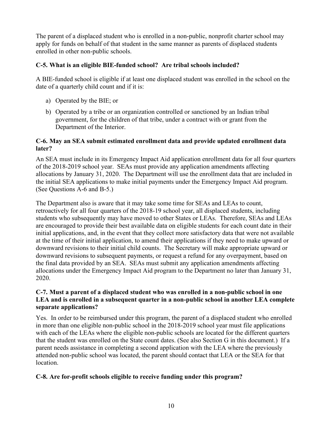The parent of a displaced student who is enrolled in a non-public, nonprofit charter school may apply for funds on behalf of that student in the same manner as parents of displaced students enrolled in other non-public schools.

### **C-5. What is an eligible BIE-funded school? Are tribal schools included?**

A BIE-funded school is eligible if at least one displaced student was enrolled in the school on the date of a quarterly child count and if it is:

- a) Operated by the BIE; or
- b) Operated by a tribe or an organization controlled or sanctioned by an Indian tribal government, for the children of that tribe, under a contract with or grant from the Department of the Interior.

### **C-6. May an SEA submit estimated enrollment data and provide updated enrollment data later?**

An SEA must include in its Emergency Impact Aid application enrollment data for all four quarters of the 2018-2019 school year. SEAs must provide any application amendments affecting allocations by January 31, 2020. The Department will use the enrollment data that are included in the initial SEA applications to make initial payments under the Emergency Impact Aid program. (See Questions A-6 and B-5.)

The Department also is aware that it may take some time for SEAs and LEAs to count, retroactively for all four quarters of the 2018-19 school year, all displaced students, including students who subsequently may have moved to other States or LEAs. Therefore, SEAs and LEAs are encouraged to provide their best available data on eligible students for each count date in their initial applications, and, in the event that they collect more satisfactory data that were not available at the time of their initial application, to amend their applications if they need to make upward or downward revisions to their initial child counts. The Secretary will make appropriate upward or downward revisions to subsequent payments, or request a refund for any overpayment, based on the final data provided by an SEA. SEAs must submit any application amendments affecting allocations under the Emergency Impact Aid program to the Department no later than January 31, 2020.

#### **C-7. Must a parent of a displaced student who was enrolled in a non-public school in one LEA and is enrolled in a subsequent quarter in a non-public school in another LEA complete separate applications?**

Yes. In order to be reimbursed under this program, the parent of a displaced student who enrolled in more than one eligible non-public school in the 2018-2019 school year must file applications with each of the LEAs where the eligible non-public schools are located for the different quarters that the student was enrolled on the State count dates. (See also Section G in this document.) If a parent needs assistance in completing a second application with the LEA where the previously attended non-public school was located, the parent should contact that LEA or the SEA for that location.

## **C-8. Are for-profit schools eligible to receive funding under this program?**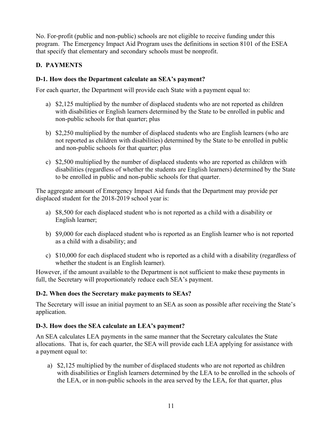No. For-profit (public and non-public) schools are not eligible to receive funding under this program. The Emergency Impact Aid Program uses the definitions in section 8101 of the ESEA that specify that elementary and secondary schools must be nonprofit.

## <span id="page-10-0"></span>**D. PAYMENTS**

### **D-1. How does the Department calculate an SEA's payment?**

For each quarter, the Department will provide each State with a payment equal to:

- a) \$2,125 multiplied by the number of displaced students who are not reported as children with disabilities or English learners determined by the State to be enrolled in public and non-public schools for that quarter; plus
- b) \$2,250 multiplied by the number of displaced students who are English learners (who are not reported as children with disabilities) determined by the State to be enrolled in public and non-public schools for that quarter; plus
- c) \$2,500 multiplied by the number of displaced students who are reported as children with disabilities (regardless of whether the students are English learners) determined by the State to be enrolled in public and non-public schools for that quarter.

The aggregate amount of Emergency Impact Aid funds that the Department may provide per displaced student for the 2018-2019 school year is:

- a) \$8,500 for each displaced student who is not reported as a child with a disability or English learner;
- b) \$9,000 for each displaced student who is reported as an English learner who is not reported as a child with a disability; and
- c) \$10,000 for each displaced student who is reported as a child with a disability (regardless of whether the student is an English learner).

However, if the amount available to the Department is not sufficient to make these payments in full, the Secretary will proportionately reduce each SEA's payment.

## **D-2. When does the Secretary make payments to SEAs?**

The Secretary will issue an initial payment to an SEA as soon as possible after receiving the State's application.

## **D-3. How does the SEA calculate an LEA's payment?**

An SEA calculates LEA payments in the same manner that the Secretary calculates the State allocations. That is, for each quarter, the SEA will provide each LEA applying for assistance with a payment equal to:

a) \$2,125 multiplied by the number of displaced students who are not reported as children with disabilities or English learners determined by the LEA to be enrolled in the schools of the LEA, or in non-public schools in the area served by the LEA, for that quarter, plus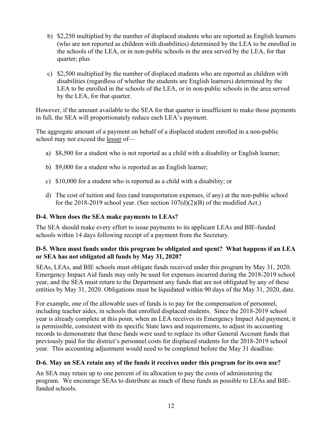- b) \$2,250 multiplied by the number of displaced students who are reported as English learners (who are not reported as children with disabilities) determined by the LEA to be enrolled in the schools of the LEA, or in non-public schools in the area served by the LEA, for that quarter; plus
- c) \$2,500 multiplied by the number of displaced students who are reported as children with disabilities (regardless of whether the students are English learners) determined by the LEA to be enrolled in the schools of the LEA, or in non-public schools in the area served by the LEA, for that quarter.

However, if the amount available to the SEA for that quarter is insufficient to make those payments in full, the SEA will proportionately reduce each LEA's payment.

The aggregate amount of a payment on behalf of a displaced student enrolled in a non-public school may not exceed the lesser of—

- a) \$8,500 for a student who is not reported as a child with a disability or English learner;
- b) \$9,000 for a student who is reported as an English learner;
- c) \$10,000 for a student who is reported as a child with a disability; or
- d) The cost of tuition and fees (and transportation expenses, if any) at the non-public school for the 2018-2019 school year. (See section  $107(d)(2)(B)$  of the modified Act.)

### **D-4. When does the SEA make payments to LEAs?**

The SEA should make every effort to issue payments to its applicant LEAs and BIE-funded schools within 14 days following receipt of a payment from the Secretary.

### **D-5. When must funds under this program be obligated and spent? What happens if an LEA or SEA has not obligated all funds by May 31, 2020?**

SEAs, LEAs, and BIE schools must obligate funds received under this program by May 31, 2020. Emergency Impact Aid funds may only be used for expenses incurred during the 2018-2019 school year, and the SEA must return to the Department any funds that are not obligated by any of these entities by May 31, 2020. Obligations must be liquidated within 90 days of the May 31, 2020, date.

For example, one of the allowable uses of funds is to pay for the compensation of personnel, including teacher aides, in schools that enrolled displaced students. Since the 2018-2019 school year is already complete at this point, when an LEA receives its Emergency Impact Aid payment, it is permissible, consistent with its specific State laws and requirements, to adjust its accounting records to demonstrate that these funds were used to replace its other General Account funds that previously paid for the district's personnel costs for displaced students for the 2018-2019 school year. This accounting adjustment would need to be completed before the May 31 deadline.

## **D-6. May an SEA retain any of the funds it receives under this program for its own use?**

An SEA may retain up to one percent of its allocation to pay the costs of administering the program. We encourage SEAs to distribute as much of these funds as possible to LEAs and BIEfunded schools.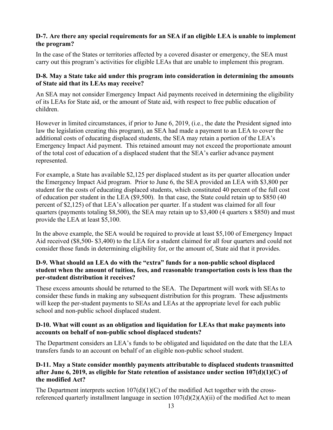### **D-7. Are there any special requirements for an SEA if an eligible LEA is unable to implement the program?**

In the case of the States or territories affected by a covered disaster or emergency, the SEA must carry out this program's activities for eligible LEAs that are unable to implement this program.

### **D-8. May a State take aid under this program into consideration in determining the amounts of State aid that its LEAs may receive?**

An SEA may not consider Emergency Impact Aid payments received in determining the eligibility of its LEAs for State aid, or the amount of State aid, with respect to free public education of children.

However in limited circumstances, if prior to June 6, 2019, (i.e., the date the President signed into law the legislation creating this program), an SEA had made a payment to an LEA to cover the additional costs of educating displaced students, the SEA may retain a portion of the LEA's Emergency Impact Aid payment. This retained amount may not exceed the proportionate amount of the total cost of education of a displaced student that the SEA's earlier advance payment represented.

For example, a State has available \$2,125 per displaced student as its per quarter allocation under the Emergency Impact Aid program. Prior to June 6, the SEA provided an LEA with \$3,800 per student for the costs of educating displaced students, which constituted 40 percent of the full cost of education per student in the LEA (\$9,500). In that case, the State could retain up to \$850 (40 percent of \$2,125) of that LEA's allocation per quarter. If a student was claimed for all four quarters (payments totaling \$8,500), the SEA may retain up to \$3,400 (4 quarters x \$850) and must provide the LEA at least \$5,100.

In the above example, the SEA would be required to provide at least \$5,100 of Emergency Impact Aid received (\$8,500- \$3,400) to the LEA for a student claimed for all four quarters and could not consider those funds in determining eligibility for, or the amount of, State aid that it provides.

### **D-9. What should an LEA do with the "extra" funds for a non-public school displaced student when the amount of tuition, fees, and reasonable transportation costs is less than the per-student distribution it receives?**

These excess amounts should be returned to the SEA. The Department will work with SEAs to consider these funds in making any subsequent distribution for this program. These adjustments will keep the per-student payments to SEAs and LEAs at the appropriate level for each public school and non-public school displaced student.

### **D-10. What will count as an obligation and liquidation for LEAs that make payments into accounts on behalf of non-public school displaced students?**

The Department considers an LEA's funds to be obligated and liquidated on the date that the LEA transfers funds to an account on behalf of an eligible non-public school student.

### **D-11. May a State consider monthly payments attributable to displaced students transmitted after June 6, 2019, as eligible for State retention of assistance under section 107(d)(1)(C) of the modified Act?**

The Department interprets section  $107(d)(1)(C)$  of the modified Act together with the crossreferenced quarterly installment language in section  $107(d)(2)(A)(ii)$  of the modified Act to mean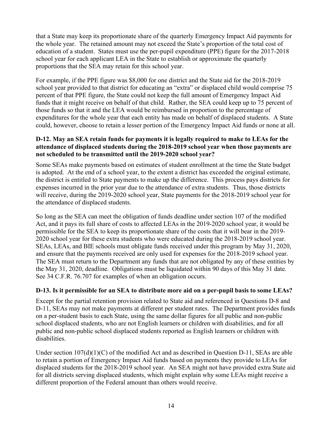that a State may keep its proportionate share of the quarterly Emergency Impact Aid payments for the whole year. The retained amount may not exceed the State's proportion of the total cost of education of a student. States must use the per-pupil expenditure (PPE) figure for the 2017-2018 school year for each applicant LEA in the State to establish or approximate the quarterly proportions that the SEA may retain for this school year.

For example, if the PPE figure was \$8,000 for one district and the State aid for the 2018-2019 school year provided to that district for educating an "extra" or displaced child would comprise 75 percent of that PPE figure, the State could not keep the full amount of Emergency Impact Aid funds that it might receive on behalf of that child. Rather, the SEA could keep up to 75 percent of those funds so that it and the LEA would be reimbursed in proportion to the percentage of expenditures for the whole year that each entity has made on behalf of displaced students. A State could, however, choose to retain a lesser portion of the Emergency Impact Aid funds or none at all.

### **D-12. May an SEA retain funds for payments it is legally required to make to LEAs for the attendance of displaced students during the 2018-2019 school year when those payments are not scheduled to be transmitted until the 2019-2020 school year?**

Some SEAs make payments based on estimates of student enrollment at the time the State budget is adopted. At the end of a school year, to the extent a district has exceeded the original estimate, the district is entitled to State payments to make up the difference. This process pays districts for expenses incurred in the prior year due to the attendance of extra students. Thus, those districts will receive, during the 2019-2020 school year, State payments for the 2018-2019 school year for the attendance of displaced students.

So long as the SEA can meet the obligation of funds deadline under section 107 of the modified Act, and it pays its full share of costs to affected LEAs in the 2019-2020 school year, it would be permissible for the SEA to keep its proportionate share of the costs that it will bear in the 2019- 2020 school year for these extra students who were educated during the 2018-2019 school year. SEAs, LEAs, and BIE schools must obligate funds received under this program by May 31, 2020, and ensure that the payments received are only used for expenses for the 2018-2019 school year. The SEA must return to the Department any funds that are not obligated by any of these entities by the May 31, 2020, deadline. Obligations must be liquidated within 90 days of this May 31 date. See 34 C.F.R. 76.707 for examples of when an obligation occurs.

### **D-13. Is it permissible for an SEA to distribute more aid on a per-pupil basis to some LEAs?**

Except for the partial retention provision related to State aid and referenced in Questions D-8 and D-11, SEAs may not make payments at different per student rates. The Department provides funds on a per-student basis to each State, using the same dollar figures for all public and non-public school displaced students, who are not English learners or children with disabilities, and for all public and non-public school displaced students reported as English learners or children with disabilities.

Under section  $107(d)(1)(C)$  of the modified Act and as described in Question D-11, SEAs are able to retain a portion of Emergency Impact Aid funds based on payments they provide to LEAs for displaced students for the 2018-2019 school year. An SEA might not have provided extra State aid for all districts serving displaced students, which might explain why some LEAs might receive a different proportion of the Federal amount than others would receive.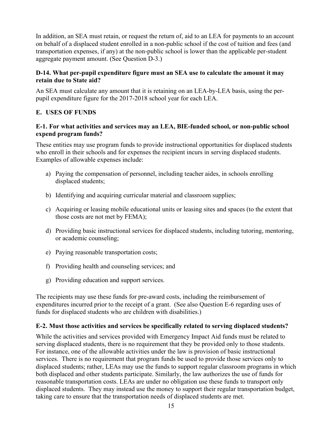In addition, an SEA must retain, or request the return of, aid to an LEA for payments to an account on behalf of a displaced student enrolled in a non-public school if the cost of tuition and fees (and transportation expenses, if any) at the non-public school is lower than the applicable per-student aggregate payment amount. (See Question D-3.)

### **D-14. What per-pupil expenditure figure must an SEA use to calculate the amount it may retain due to State aid?**

An SEA must calculate any amount that it is retaining on an LEA-by-LEA basis, using the perpupil expenditure figure for the 2017-2018 school year for each LEA.

## <span id="page-14-0"></span>**E. USES OF FUNDS**

#### **E-1. For what activities and services may an LEA, BIE-funded school, or non-public school expend program funds?**

These entities may use program funds to provide instructional opportunities for displaced students who enroll in their schools and for expenses the recipient incurs in serving displaced students. Examples of allowable expenses include:

- a) Paying the compensation of personnel, including teacher aides, in schools enrolling displaced students;
- b) Identifying and acquiring curricular material and classroom supplies;
- c) Acquiring or leasing mobile educational units or leasing sites and spaces (to the extent that those costs are not met by FEMA);
- d) Providing basic instructional services for displaced students, including tutoring, mentoring, or academic counseling;
- e) Paying reasonable transportation costs;
- f) Providing health and counseling services; and
- g) Providing education and support services.

The recipients may use these funds for pre-award costs, including the reimbursement of expenditures incurred prior to the receipt of a grant. (See also Question E-6 regarding uses of funds for displaced students who are children with disabilities.)

## **E-2. Must those activities and services be specifically related to serving displaced students?**

While the activities and services provided with Emergency Impact Aid funds must be related to serving displaced students, there is no requirement that they be provided only to those students. For instance, one of the allowable activities under the law is provision of basic instructional services. There is no requirement that program funds be used to provide those services only to displaced students; rather, LEAs may use the funds to support regular classroom programs in which both displaced and other students participate. Similarly, the law authorizes the use of funds for reasonable transportation costs. LEAs are under no obligation use these funds to transport only displaced students. They may instead use the money to support their regular transportation budget, taking care to ensure that the transportation needs of displaced students are met.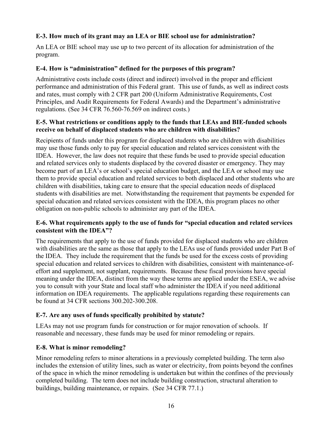### **E-3. How much of its grant may an LEA or BIE school use for administration?**

An LEA or BIE school may use up to two percent of its allocation for administration of the program.

### **E-4. How is "administration" defined for the purposes of this program?**

Administrative costs include costs (direct and indirect) involved in the proper and efficient performance and administration of this Federal grant. This use of funds, as well as indirect costs and rates, must comply with 2 CFR part 200 (Uniform Administrative Requirements, Cost Principles, and Audit Requirements for Federal Awards) and the Department's administrative regulations. (See 34 CFR 76.560-76.569 on indirect costs.)

### **E-5. What restrictions or conditions apply to the funds that LEAs and BIE-funded schools receive on behalf of displaced students who are children with disabilities?**

Recipients of funds under this program for displaced students who are children with disabilities may use those funds only to pay for special education and related services consistent with the IDEA. However, the law does not require that these funds be used to provide special education and related services only to students displaced by the covered disaster or emergency. They may become part of an LEA's or school's special education budget, and the LEA or school may use them to provide special education and related services to both displaced and other students who are children with disabilities, taking care to ensure that the special education needs of displaced students with disabilities are met. Notwithstanding the requirement that payments be expended for special education and related services consistent with the IDEA, this program places no other obligation on non-public schools to administer any part of the IDEA.

### **E-6. What requirements apply to the use of funds for "special education and related services consistent with the IDEA"?**

The requirements that apply to the use of funds provided for displaced students who are children with disabilities are the same as those that apply to the LEAs use of funds provided under Part B of the IDEA. They include the requirement that the funds be used for the excess costs of providing special education and related services to children with disabilities, consistent with maintenance-ofeffort and supplement, not supplant, requirements. Because these fiscal provisions have special meaning under the IDEA, distinct from the way these terms are applied under the ESEA, we advise you to consult with your State and local staff who administer the IDEA if you need additional information on IDEA requirements. The applicable regulations regarding these requirements can be found at 34 CFR sections 300.202-300.208.

## **E-7. Are any uses of funds specifically prohibited by statute?**

LEAs may not use program funds for construction or for major renovation of schools. If reasonable and necessary, these funds may be used for minor remodeling or repairs.

## **E-8. What is minor remodeling?**

Minor remodeling refers to minor alterations in a previously completed building. The term also includes the extension of utility lines, such as water or electricity, from points beyond the confines of the space in which the minor remodeling is undertaken but within the confines of the previously completed building. The term does not include building construction, structural alteration to buildings, building maintenance, or repairs. (See 34 CFR 77.1.)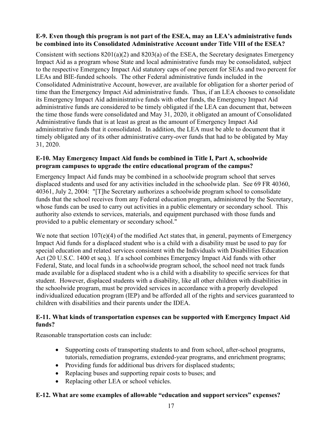### **E-9. Even though this program is not part of the ESEA, may an LEA's administrative funds be combined into its Consolidated Administrative Account under Title VIII of the ESEA?**

Consistent with sections 8201(a)(2) and 8203(a) of the ESEA, the Secretary designates Emergency Impact Aid as a program whose State and local administrative funds may be consolidated, subject to the respective Emergency Impact Aid statutory caps of one percent for SEAs and two percent for LEAs and BIE-funded schools. The other Federal administrative funds included in the Consolidated Administrative Account, however, are available for obligation for a shorter period of time than the Emergency Impact Aid administrative funds. Thus, if an LEA chooses to consolidate its Emergency Impact Aid administrative funds with other funds, the Emergency Impact Aid administrative funds are considered to be timely obligated if the LEA can document that, between the time those funds were consolidated and May 31, 2020, it obligated an amount of Consolidated Administrative funds that is at least as great as the amount of Emergency Impact Aid administrative funds that it consolidated. In addition, the LEA must be able to document that it timely obligated any of its other administrative carry-over funds that had to be obligated by May 31, 2020.

### **E-10. May Emergency Impact Aid funds be combined in Title I, Part A, schoolwide program campuses to upgrade the entire educational program of the campus?**

Emergency Impact Aid funds may be combined in a schoolwide program school that serves displaced students and used for any activities included in the schoolwide plan. See 69 FR 40360, 40361, July 2, 2004: "[T]he Secretary authorizes a schoolwide program school to consolidate funds that the school receives from any Federal education program, administered by the Secretary, whose funds can be used to carry out activities in a public elementary or secondary school. This authority also extends to services, materials, and equipment purchased with those funds and provided to a public elementary or secondary school."

We note that section 107(e)(4) of the modified Act states that, in general, payments of Emergency Impact Aid funds for a displaced student who is a child with a disability must be used to pay for special education and related services consistent with the Individuals with Disabilities Education Act (20 U.S.C. 1400 et seq.). If a school combines Emergency Impact Aid funds with other Federal, State, and local funds in a schoolwide program school, the school need not track funds made available for a displaced student who is a child with a disability to specific services for that student. However, displaced students with a disability, like all other children with disabilities in the schoolwide program, must be provided services in accordance with a properly developed individualized education program (IEP) and be afforded all of the rights and services guaranteed to children with disabilities and their parents under the IDEA.

### **E-11. What kinds of transportation expenses can be supported with Emergency Impact Aid funds?**

Reasonable transportation costs can include:

- Supporting costs of transporting students to and from school, after-school programs, tutorials, remediation programs, extended-year programs, and enrichment programs;
- Providing funds for additional bus drivers for displaced students;
- Replacing buses and supporting repair costs to buses; and
- Replacing other LEA or school vehicles.

## **E-12. What are some examples of allowable "education and support services" expenses?**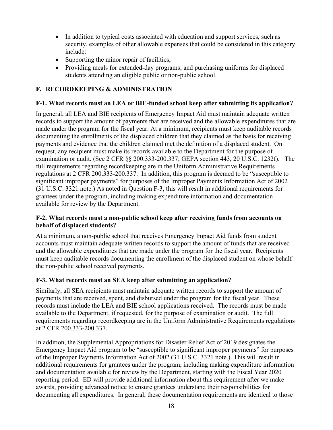- In addition to typical costs associated with education and support services, such as security, examples of other allowable expenses that could be considered in this category include:
- Supporting the minor repair of facilities;
- Providing meals for extended-day programs; and purchasing uniforms for displaced students attending an eligible public or non-public school.

## <span id="page-17-0"></span>**F. RECORDKEEPING & ADMINISTRATION**

### **F-1. What records must an LEA or BIE-funded school keep after submitting its application?**

In general, all LEA and BIE recipients of Emergency Impact Aid must maintain adequate written records to support the amount of payments that are received and the allowable expenditures that are made under the program for the fiscal year. At a minimum, recipients must keep auditable records documenting the enrollments of the displaced children that they claimed as the basis for receiving payments and evidence that the children claimed met the definition of a displaced student. On request, any recipient must make its records available to the Department for the purpose of examination or audit. (See 2 CFR §§ 200.333-200.337; GEPA section 443, 20 U.S.C. 1232f). The full requirements regarding recordkeeping are in the Uniform Administrative Requirements regulations at 2 CFR 200.333-200.337. In addition, this program is deemed to be "susceptible to significant improper payments" for purposes of the Improper Payments Information Act of 2002 (31 U.S.C. 3321 note.) As noted in Question F-3, this will result in additional requirements for grantees under the program, including making expenditure information and documentation available for review by the Department.

#### **F-2. What records must a non-public school keep after receiving funds from accounts on behalf of displaced students?**

At a minimum, a non-public school that receives Emergency Impact Aid funds from student accounts must maintain adequate written records to support the amount of funds that are received and the allowable expenditures that are made under the program for the fiscal year. Recipients must keep auditable records documenting the enrollment of the displaced student on whose behalf the non-public school received payments.

### **F-3. What records must an SEA keep after submitting an application?**

Similarly, all SEA recipients must maintain adequate written records to support the amount of payments that are received, spent, and disbursed under the program for the fiscal year. These records must include the LEA and BIE school applications received. The records must be made available to the Department, if requested, for the purpose of examination or audit. The full requirements regarding recordkeeping are in the Uniform Administrative Requirements regulations at 2 CFR 200.333-200.337.

In addition, the Supplemental Appropriations for Disaster Relief Act of 2019 designates the Emergency Impact Aid program to be "susceptible to significant improper payments" for purposes of the Improper Payments Information Act of 2002 (31 U.S.C. 3321 note.) This will result in additional requirements for grantees under the program, including making expenditure information and documentation available for review by the Department, starting with the Fiscal Year 2020 reporting period. ED will provide additional information about this requirement after we make awards, providing advanced notice to ensure grantees understand their responsibilities for documenting all expenditures. In general, these documentation requirements are identical to those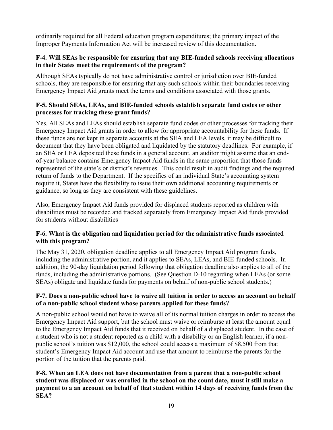ordinarily required for all Federal education program expenditures; the primary impact of the Improper Payments Information Act will be increased review of this documentation.

### **F-4. Will SEAs be responsible for ensuring that any BIE-funded schools receiving allocations in their States meet the requirements of the program?**

Although SEAs typically do not have administrative control or jurisdiction over BIE-funded schools, they are responsible for ensuring that any such schools within their boundaries receiving Emergency Impact Aid grants meet the terms and conditions associated with those grants.

### **F-5. Should SEAs, LEAs, and BIE-funded schools establish separate fund codes or other processes for tracking these grant funds?**

Yes. All SEAs and LEAs should establish separate fund codes or other processes for tracking their Emergency Impact Aid grants in order to allow for appropriate accountability for these funds. If these funds are not kept in separate accounts at the SEA and LEA levels, it may be difficult to document that they have been obligated and liquidated by the statutory deadlines. For example, if an SEA or LEA deposited these funds in a general account, an auditor might assume that an endof-year balance contains Emergency Impact Aid funds in the same proportion that those funds represented of the state's or district's revenues. This could result in audit findings and the required return of funds to the Department. If the specifics of an individual State's accounting system require it, States have the flexibility to issue their own additional accounting requirements or guidance, so long as they are consistent with these guidelines.

Also, Emergency Impact Aid funds provided for displaced students reported as children with disabilities must be recorded and tracked separately from Emergency Impact Aid funds provided for students without disabilities

### **F-6. What is the obligation and liquidation period for the administrative funds associated with this program?**

The May 31, 2020, obligation deadline applies to all Emergency Impact Aid program funds, including the administrative portion, and it applies to SEAs, LEAs, and BIE-funded schools. In addition, the 90-day liquidation period following that obligation deadline also applies to all of the funds, including the administrative portions. (See Question D-10 regarding when LEAs (or some SEAs) obligate and liquidate funds for payments on behalf of non-public school students.)

### **F-7. Does a non-public school have to waive all tuition in order to access an account on behalf of a non-public school student whose parents applied for these funds?**

A non-public school would not have to waive all of its normal tuition charges in order to access the Emergency Impact Aid support, but the school must waive or reimburse at least the amount equal to the Emergency Impact Aid funds that it received on behalf of a displaced student. In the case of a student who is not a student reported as a child with a disability or an English learner, if a nonpublic school's tuition was \$12,000, the school could access a maximum of \$8,500 from that student's Emergency Impact Aid account and use that amount to reimburse the parents for the portion of the tuition that the parents paid.

**F-8. When an LEA does not have documentation from a parent that a non-public school student was displaced or was enrolled in the school on the count date, must it still make a payment to a an account on behalf of that student within 14 days of receiving funds from the SEA?**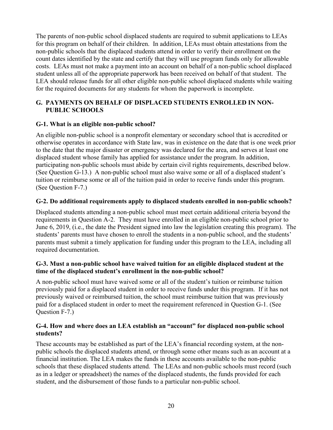The parents of non-public school displaced students are required to submit applications to LEAs for this program on behalf of their children. In addition, LEAs must obtain attestations from the non-public schools that the displaced students attend in order to verify their enrollment on the count dates identified by the state and certify that they will use program funds only for allowable costs. LEAs must not make a payment into an account on behalf of a non-public school displaced student unless all of the appropriate paperwork has been received on behalf of that student. The LEA should release funds for all other eligible non-public school displaced students while waiting for the required documents for any students for whom the paperwork is incomplete.

### <span id="page-19-0"></span>**G. PAYMENTS ON BEHALF OF DISPLACED STUDENTS ENROLLED IN NON-PUBLIC SCHOOLS**

### **G-1. What is an eligible non-public school?**

An eligible non-public school is a nonprofit elementary or secondary school that is accredited or otherwise operates in accordance with State law, was in existence on the date that is one week prior to the date that the major disaster or emergency was declared for the area, and serves at least one displaced student whose family has applied for assistance under the program. In addition, participating non-public schools must abide by certain civil rights requirements, described below. (See Question G-13.) A non-public school must also waive some or all of a displaced student's tuition or reimburse some or all of the tuition paid in order to receive funds under this program. (See Question F-7.)

### **G-2. Do additional requirements apply to displaced students enrolled in non-public schools?**

Displaced students attending a non-public school must meet certain additional criteria beyond the requirements in Question A-2. They must have enrolled in an eligible non-public school prior to June 6, 2019, (i.e., the date the President signed into law the legislation creating this program). The students' parents must have chosen to enroll the students in a non-public school, and the students' parents must submit a timely application for funding under this program to the LEA, including all required documentation.

### **G-3. Must a non-public school have waived tuition for an eligible displaced student at the time of the displaced student's enrollment in the non-public school?**

A non-public school must have waived some or all of the student's tuition or reimburse tuition previously paid for a displaced student in order to receive funds under this program. If it has not previously waived or reimbursed tuition, the school must reimburse tuition that was previously paid for a displaced student in order to meet the requirement referenced in Question G-1. (See Question F-7.)

### **G-4. How and where does an LEA establish an "account" for displaced non-public school students?**

These accounts may be established as part of the LEA's financial recording system, at the nonpublic schools the displaced students attend, or through some other means such as an account at a financial institution. The LEA makes the funds in these accounts available to the non-public schools that these displaced students attend. The LEAs and non-public schools must record (such as in a ledger or spreadsheet) the names of the displaced students, the funds provided for each student, and the disbursement of those funds to a particular non-public school.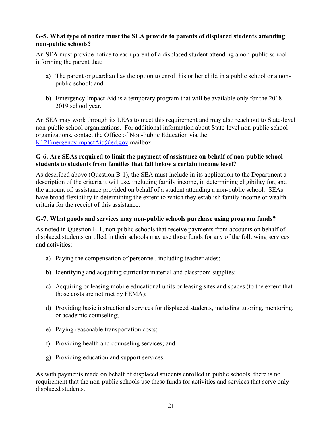### **G-5. What type of notice must the SEA provide to parents of displaced students attending non-public schools?**

An SEA must provide notice to each parent of a displaced student attending a non-public school informing the parent that:

- a) The parent or guardian has the option to enroll his or her child in a public school or a nonpublic school; and
- b) Emergency Impact Aid is a temporary program that will be available only for the 2018- 2019 school year.

An SEA may work through its LEAs to meet this requirement and may also reach out to State-level non-public school organizations. For additional information about State-level non-public school organizations, contact the Office of Non-Public Education via the [K12EmergencyImpactAid@ed.gov](mailto:K12EmergencyImpactAid@ed.gov) mailbox.

#### **G-6. Are SEAs required to limit the payment of assistance on behalf of non-public school students to students from families that fall below a certain income level?**

As described above (Question B-1), the SEA must include in its application to the Department a description of the criteria it will use, including family income, in determining eligibility for, and the amount of, assistance provided on behalf of a student attending a non-public school. SEAs have broad flexibility in determining the extent to which they establish family income or wealth criteria for the receipt of this assistance.

### **G-7. What goods and services may non-public schools purchase using program funds?**

As noted in Question E-1, non-public schools that receive payments from accounts on behalf of displaced students enrolled in their schools may use those funds for any of the following services and activities:

- a) Paying the compensation of personnel, including teacher aides;
- b) Identifying and acquiring curricular material and classroom supplies;
- c) Acquiring or leasing mobile educational units or leasing sites and spaces (to the extent that those costs are not met by FEMA);
- d) Providing basic instructional services for displaced students, including tutoring, mentoring, or academic counseling;
- e) Paying reasonable transportation costs;
- f) Providing health and counseling services; and
- g) Providing education and support services.

As with payments made on behalf of displaced students enrolled in public schools, there is no requirement that the non-public schools use these funds for activities and services that serve only displaced students.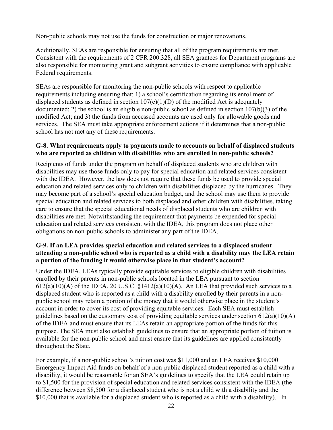Non-public schools may not use the funds for construction or major renovations.

Additionally, SEAs are responsible for ensuring that all of the program requirements are met. Consistent with the requirements of 2 CFR 200.328, all SEA grantees for Department programs are also responsible for monitoring grant and subgrant activities to ensure compliance with applicable Federal requirements.

SEAs are responsible for monitoring the non-public schools with respect to applicable requirements including ensuring that: 1) a school's certification regarding its enrollment of displaced students as defined in section  $107(c)(1)(D)$  of the modified Act is adequately documented; 2) the school is an eligible non-public school as defined in section 107(b)(3) of the modified Act; and 3) the funds from accessed accounts are used only for allowable goods and services. The SEA must take appropriate enforcement actions if it determines that a non-public school has not met any of these requirements.

#### **G-8. What requirements apply to payments made to accounts on behalf of displaced students who are reported as children with disabilities who are enrolled in non-public schools?**

Recipients of funds under the program on behalf of displaced students who are children with disabilities may use those funds only to pay for special education and related services consistent with the IDEA. However, the law does not require that these funds be used to provide special education and related services only to children with disabilities displaced by the hurricanes. They may become part of a school's special education budget, and the school may use them to provide special education and related services to both displaced and other children with disabilities, taking care to ensure that the special educational needs of displaced students who are children with disabilities are met. Notwithstanding the requirement that payments be expended for special education and related services consistent with the IDEA, this program does not place other obligations on non-public schools to administer any part of the IDEA.

### **G-9. If an LEA provides special education and related services to a displaced student attending a non-public school who is reported as a child with a disability may the LEA retain a portion of the funding it would otherwise place in that student's account?**

Under the IDEA, LEAs typically provide equitable services to eligible children with disabilities enrolled by their parents in non-public schools located in the LEA pursuant to section  $612(a)(10)(A)$  of the IDEA, 20 U.S.C.  $\S 1412(a)(10)(A)$ . An LEA that provided such services to a displaced student who is reported as a child with a disability enrolled by their parents in a nonpublic school may retain a portion of the money that it would otherwise place in the student's account in order to cover its cost of providing equitable services. Each SEA must establish guidelines based on the customary cost of providing equitable services under section  $612(a)(10)(A)$ of the IDEA and must ensure that its LEAs retain an appropriate portion of the funds for this purpose. The SEA must also establish guidelines to ensure that an appropriate portion of tuition is available for the non-public school and must ensure that its guidelines are applied consistently throughout the State.

For example, if a non-public school's tuition cost was \$11,000 and an LEA receives \$10,000 Emergency Impact Aid funds on behalf of a non-public displaced student reported as a child with a disability, it would be reasonable for an SEA's guidelines to specify that the LEA could retain up to \$1,500 for the provision of special education and related services consistent with the IDEA (the difference between \$8,500 for a displaced student who is not a child with a disability and the \$10,000 that is available for a displaced student who is reported as a child with a disability). In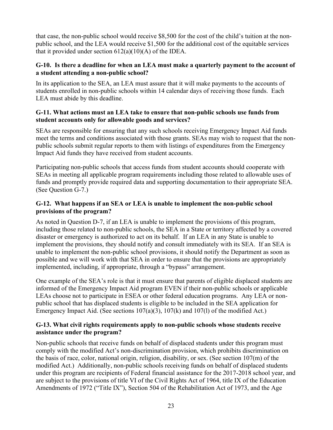that case, the non-public school would receive \$8,500 for the cost of the child's tuition at the nonpublic school, and the LEA would receive \$1,500 for the additional cost of the equitable services that it provided under section  $612(a)(10)(A)$  of the IDEA.

### **G-10. Is there a deadline for when an LEA must make a quarterly payment to the account of a student attending a non-public school?**

In its application to the SEA, an LEA must assure that it will make payments to the accounts of students enrolled in non-public schools within 14 calendar days of receiving those funds. Each LEA must abide by this deadline.

### **G-11. What actions must an LEA take to ensure that non-public schools use funds from student accounts only for allowable goods and services?**

SEAs are responsible for ensuring that any such schools receiving Emergency Impact Aid funds meet the terms and conditions associated with those grants. SEAs may wish to request that the nonpublic schools submit regular reports to them with listings of expenditures from the Emergency Impact Aid funds they have received from student accounts.

Participating non-public schools that access funds from student accounts should cooperate with SEAs in meeting all applicable program requirements including those related to allowable uses of funds and promptly provide required data and supporting documentation to their appropriate SEA. (See Question G-7.)

### **G-12. What happens if an SEA or LEA is unable to implement the non-public school provisions of the program?**

As noted in Question D-7, if an LEA is unable to implement the provisions of this program, including those related to non-public schools, the SEA in a State or territory affected by a covered disaster or emergency is authorized to act on its behalf. If an LEA in any State is unable to implement the provisions, they should notify and consult immediately with its SEA. If an SEA is unable to implement the non-public school provisions, it should notify the Department as soon as possible and we will work with that SEA in order to ensure that the provisions are appropriately implemented, including, if appropriate, through a "bypass" arrangement.

One example of the SEA's role is that it must ensure that parents of eligible displaced students are informed of the Emergency Impact Aid program EVEN if their non-public schools or applicable LEAs choose not to participate in ESEA or other federal education programs. Any LEA or nonpublic school that has displaced students is eligible to be included in the SEA application for Emergency Impact Aid. (See sections 107(a)(3), 107(k) and 107(l) of the modified Act.)

### **G-13. What civil rights requirements apply to non-public schools whose students receive assistance under the program?**

Non-public schools that receive funds on behalf of displaced students under this program must comply with the modified Act's non-discrimination provision, which prohibits discrimination on the basis of race, color, national origin, religion, disability, or sex. (See section 107(m) of the modified Act.) Additionally, non-public schools receiving funds on behalf of displaced students under this program are recipients of Federal financial assistance for the 2017-2018 school year, and are subject to the provisions of title VI of the Civil Rights Act of 1964, title IX of the Education Amendments of 1972 ("Title IX"), Section 504 of the Rehabilitation Act of 1973, and the Age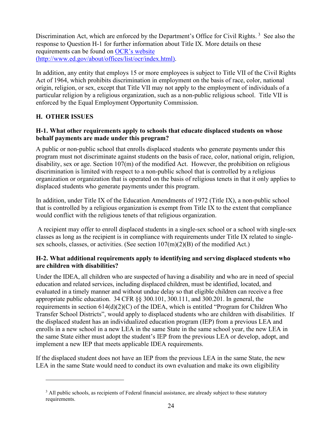Discrimination Act, which are enforced by the Department's Office for Civil Rights.<sup>[3](#page-23-1)</sup> See also the response to Question H-1 for further information about Title IX. More details on these requirements can be found on [OCR's website](http://www.ed.gov/about/offices/list/ocr/index.html)  [\(http://www.ed.gov/about/offices/list/ocr/index.html\).](http://www.ed.gov/about/offices/list/ocr/index.html)

In addition, any entity that employs 15 or more employees is subject to Title VII of the Civil Rights Act of 1964, which prohibits discrimination in employment on the basis of race, color, national origin, religion, or sex, except that Title VII may not apply to the employment of individuals of a particular religion by a religious organization, such as a non-public religious school. Title VII is enforced by the Equal Employment Opportunity Commission.

## <span id="page-23-0"></span>**H. OTHER ISSUES**

### **H-1. What other requirements apply to schools that educate displaced students on whose behalf payments are made under this program?**

A public or non-public school that enrolls displaced students who generate payments under this program must not discriminate against students on the basis of race, color, national origin, religion, disability, sex or age. Section 107(m) of the modified Act. However, the prohibition on religious discrimination is limited with respect to a non-public school that is controlled by a religious organization or organization that is operated on the basis of religious tenets in that it only applies to displaced students who generate payments under this program.

In addition, under Title IX of the Education Amendments of 1972 (Title IX), a non-public school that is controlled by a religious organization is exempt from Title IX to the extent that compliance would conflict with the religious tenets of that religious organization.

A recipient may offer to enroll displaced students in a single-sex school or a school with single-sex classes as long as the recipient is in compliance with requirements under Title IX related to singlesex schools, classes, or activities. (See section  $107(m)(2)(B)$  of the modified Act.)

### **H-2. What additional requirements apply to identifying and serving displaced students who are children with disabilities?**

Under the IDEA, all children who are suspected of having a disability and who are in need of special education and related services, including displaced children, must be identified, located, and evaluated in a timely manner and without undue delay so that eligible children can receive a free appropriate public education. 34 CFR §§ 300.101, 300.111, and 300.201. In general, the requirements in section 614(d)(2)(C) of the IDEA, which is entitled "Program for Children Who Transfer School Districts", would apply to displaced students who are children with disabilities. If the displaced student has an individualized education program (IEP) from a previous LEA and enrolls in a new school in a new LEA in the same State in the same school year, the new LEA in the same State either must adopt the student's IEP from the previous LEA or develop, adopt, and implement a new IEP that meets applicable IDEA requirements.

If the displaced student does not have an IEP from the previous LEA in the same State, the new LEA in the same State would need to conduct its own evaluation and make its own eligibility

<span id="page-23-1"></span><sup>&</sup>lt;sup>3</sup> All public schools, as recipients of Federal financial assistance, are already subject to these statutory requirements.